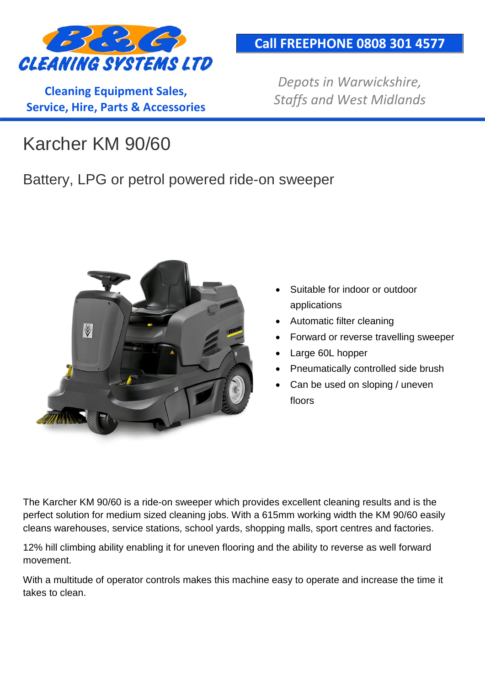

**Cleaning Equipment Sales, Service, Hire, Parts & Accessories**

#### **Call FREEPHONE 0808 301 4577**

*Depots in Warwickshire, Staffs and West Midlands*

# Karcher KM 90/60

#### Battery, LPG or petrol powered ride-on sweeper



- Suitable for indoor or outdoor applications
- Automatic filter cleaning
- Forward or reverse travelling sweeper
- Large 60L hopper
- Pneumatically controlled side brush
- Can be used on sloping / uneven floors

The Karcher KM 90/60 is a ride-on sweeper which provides excellent cleaning results and is the perfect solution for medium sized cleaning jobs. With a 615mm working width the KM 90/60 easily cleans warehouses, service stations, school yards, shopping malls, sport centres and factories.

12% hill climbing ability enabling it for uneven flooring and the ability to reverse as well forward movement.

With a multitude of operator controls makes this machine easy to operate and increase the time it takes to clean.